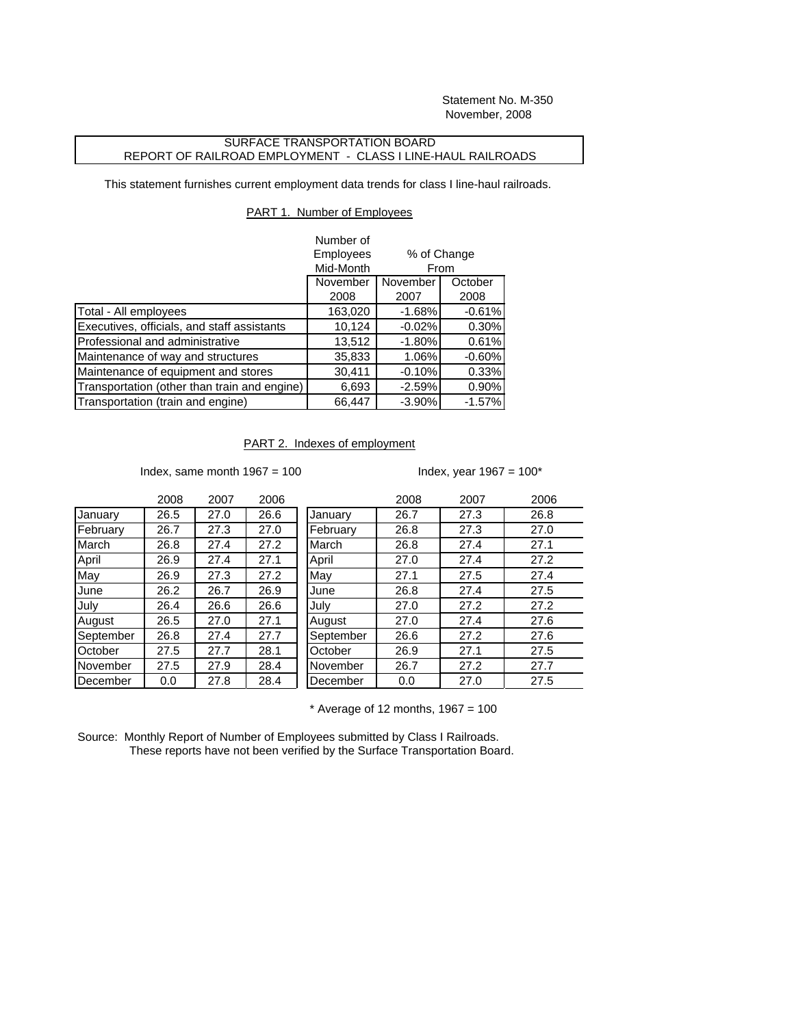Statement No. M-350 November, 2008

## SURFACE TRANSPORTATION BOARD REPORT OF RAILROAD EMPLOYMENT - CLASS I LINE-HAUL RAILROADS

This statement furnishes current employment data trends for class I line-haul railroads.

## PART 1. Number of Employees

|                                              | Number of            |                     |          |
|----------------------------------------------|----------------------|---------------------|----------|
|                                              | Employees            | % of Change<br>From |          |
|                                              | Mid-Month            |                     |          |
|                                              | November<br>November |                     | October  |
|                                              | 2008                 | 2007                | 2008     |
| Total - All employees                        | 163,020              | $-1.68%$            | $-0.61%$ |
| Executives, officials, and staff assistants  | 10,124               | $-0.02%$            | 0.30%    |
| Professional and administrative              | 13,512               | $-1.80%$            | 0.61%    |
| Maintenance of way and structures            | 35,833               | 1.06%               | $-0.60%$ |
| Maintenance of equipment and stores          | 30,411               | $-0.10%$            | 0.33%    |
| Transportation (other than train and engine) | 6,693                | $-2.59%$            | 0.90%    |
| Transportation (train and engine)            | 66,447               | $-3.90%$            | $-1.57%$ |

## PART 2. Indexes of employment

Index, same month  $1967 = 100$  Index, year  $1967 = 100^*$ 

|           | 2008 | 2007 | 2006 |           | 2008 | 2007 | 2006 |
|-----------|------|------|------|-----------|------|------|------|
| January   | 26.5 | 27.0 | 26.6 | January   | 26.7 | 27.3 | 26.8 |
| February  | 26.7 | 27.3 | 27.0 | February  | 26.8 | 27.3 | 27.0 |
| March     | 26.8 | 27.4 | 27.2 | March     | 26.8 | 27.4 | 27.1 |
| April     | 26.9 | 27.4 | 27.1 | April     | 27.0 | 27.4 | 27.2 |
| May       | 26.9 | 27.3 | 27.2 | May       | 27.1 | 27.5 | 27.4 |
| June      | 26.2 | 26.7 | 26.9 | June      | 26.8 | 27.4 | 27.5 |
| July      | 26.4 | 26.6 | 26.6 | July      | 27.0 | 27.2 | 27.2 |
| August    | 26.5 | 27.0 | 27.1 | August    | 27.0 | 27.4 | 27.6 |
| September | 26.8 | 27.4 | 27.7 | September | 26.6 | 27.2 | 27.6 |
| October   | 27.5 | 27.7 | 28.1 | October   | 26.9 | 27.1 | 27.5 |
| November  | 27.5 | 27.9 | 28.4 | November  | 26.7 | 27.2 | 27.7 |
| December  | 0.0  | 27.8 | 28.4 | December  | 0.0  | 27.0 | 27.5 |
|           |      |      |      |           |      |      |      |

 $*$  Average of 12 months, 1967 = 100

Source: Monthly Report of Number of Employees submitted by Class I Railroads. These reports have not been verified by the Surface Transportation Board.